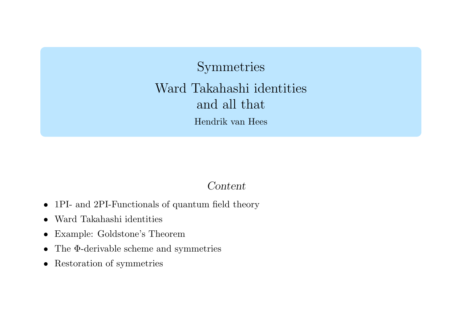Symmetries Ward Takahashi identities and all that Hendrik van Hees

#### Content

- 1PI- and 2PI-Functionals of quantum field theory
- Ward Takahashi identities
- $\bullet$ Example: Goldstone's Theorem
- $\bullet$ • The Φ-derivable scheme and symmetries
- Restoration of symmetries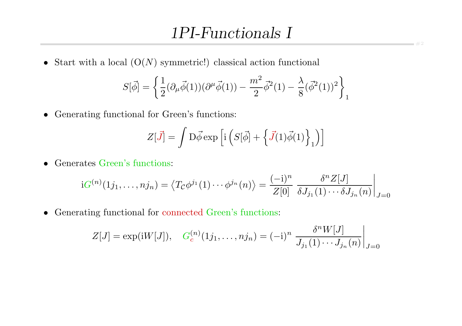## 1PI-Functionals I

• Start with a local  $(O(N)$  symmetric!) classical action functional

$$
S[\vec{\phi}] = \left\{ \frac{1}{2} (\partial_{\mu} \vec{\phi}(1)) (\partial^{\mu} \vec{\phi}(1)) - \frac{m^2}{2} \vec{\phi}^2(1) - \frac{\lambda}{8} (\vec{\phi}^2(1))^2 \right\}_1
$$

• Generating functional for Green's functions:

$$
Z[\vec{J}] = \int \mathcal{D}\vec{\phi} \exp\left[i\left(S[\vec{\phi}] + \left\{\vec{J}(1)\vec{\phi}(1)\right\}\right]_1\right)\right]
$$

• Generates Green's functions:

$$
iG^{(n)}(1j_1,\ldots,nj_n) = \left\langle T_{\mathcal{C}}\phi^{j_1}(1)\cdots\phi^{j_n}(n)\right\rangle = \frac{(-i)^n}{Z[0]} \frac{\delta^n Z[J]}{\delta J_{j_1}(1)\cdots\delta J_{j_n}(n)}\bigg|_{J=0}
$$

• Generating functional for connected Green's functions:

$$
Z[J] = \exp(iW[J]), \quad G_c^{(n)}(1j_1, \dots, nj_n) = (-i)^n \left. \frac{\delta^n W[J]}{J_{j_1}(1) \cdots J_{j_n}(n)} \right|_{J=0}
$$

 $-42$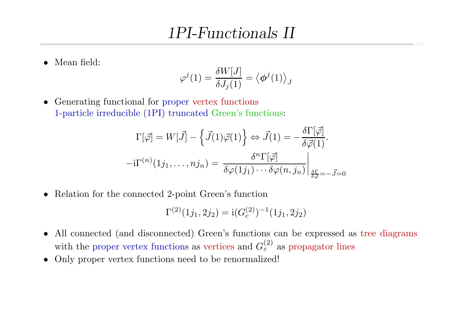• Mean field:

$$
\varphi^j(1)=\frac{\delta W[J]}{\delta J_j(1)}=\big<\boldsymbol{\phi}^j(1)\big>_J
$$

• Generating functional for proper vertex functions 1-particle irreducible (1PI) truncated Green's functions:

$$
\Gamma[\vec{\varphi}] = W[\vec{J}] - \left\{ \vec{J}(1)\vec{\varphi}(1) \right\} \Leftrightarrow \vec{J}(1) = -\frac{\delta\Gamma[\vec{\varphi}]}{\delta\vec{\varphi}(1)}.
$$

$$
-i\Gamma^{(n)}(1j_1,\ldots,nj_n) = \left. \frac{\delta^n \Gamma[\vec{\varphi}]}{\delta\varphi(1j_1)\cdots\delta\varphi(n,j_n)} \right|_{\frac{\delta\Gamma}{\delta\vec{\varphi}} = -\vec{J} = 0}
$$

• Relation for the connected 2-point Green's function

$$
\Gamma^{(2)}(1j_1, 2j_2) = i(G_c^{(2)})^{-1}(1j_1, 2j_2)
$$

- All connected (and disconnected) Green's functions can be expressed as tree diagrams with the proper vertex functions as vertices and  $G_c^{(2)}$  as propagator lines
- Only proper vertex functions need to be renormalized!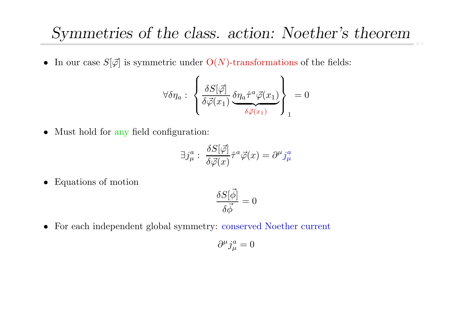#### Symmetries of the class. action: Noether's theorem  $+4$

• In our case  $S[\vec{\varphi}]$  is symmetric under  $O(N)$ -transformations of the fields:

$$
\forall \delta \eta_a : \left\{ \frac{\delta S[\vec{\varphi}]}{\delta \vec{\varphi}(x_1)} \underbrace{\delta \eta_a \hat{\tau}^a \vec{\varphi}(x_1)}_{\delta \vec{\varphi}(x_1)} \right\}_1 = 0
$$

• Must hold for any field configuration:

$$
\exists j^a_\mu : \ \frac{\delta S[\vec{\varphi}]}{\delta \vec{\varphi}(x)} \hat{\tau}^a \vec{\varphi}(x) = \partial^\mu j^a_\mu
$$

• Equations of motion

$$
\frac{\delta S[\vec{\phi}]}{\delta \vec{\phi}} = 0
$$

• For each independent global symmetry: conserved Noether current

$$
\partial^\mu j_\mu^a=0
$$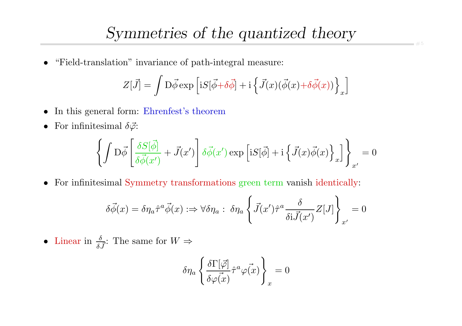• "Field-translation" invariance of path-integral measure:

$$
Z[\vec{J}] = \int \mathcal{D}\vec{\phi} \exp\left[iS[\vec{\phi} + \delta\vec{\phi}] + i\left\{\vec{J}(x)(\vec{\phi}(x) + \delta\vec{\phi}(x))\right\}_x\right]
$$

- In this general form: Ehrenfest's theorem
- For infinitesimal  $\delta \vec{\varphi}$ :

$$
\left\{\int \mathcal{D}\vec{\phi}\left[\frac{\delta S[\vec{\phi}]}{\delta\vec{\phi}(x')}+\vec{J}(x')\right]\delta\vec{\phi}(x')\exp\left[\mathrm{i} S[\vec{\phi}]+\mathrm{i}\left\{\vec{J}(x)\vec{\phi}(x)\right\}_x\right]\right\}_{x'}=0
$$

• For infinitesimal Symmetry transformations green term vanish identically:

$$
\delta \vec{\phi}(x) = \delta \eta_a \hat{\tau}^a \vec{\phi}(x) : \Rightarrow \forall \delta \eta_a : \delta \eta_a \left\{ \vec{J}(x') \hat{\tau}^a \frac{\delta}{\delta i \vec{J}(x')} Z[J] \right\}_{x'} = 0
$$

• Linear in  $\frac{\delta}{\delta \vec{J}}$ : The same for  $W \Rightarrow$ 

$$
\delta \eta_a \left\{ \frac{\delta \Gamma[\vec{\varphi}]}{\delta \varphi(\vec{x})} \hat{\tau}^a \varphi(\vec{x}) \right\}_x = 0
$$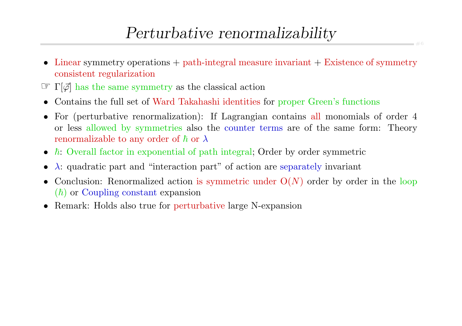# Perturbative renormalizability

- Linear symmetry operations + path-integral measure invariant + Existence of symmetry consistent regularization
- $\mathbb{E}[\vec{\varphi}]$  has the same symmetry as the classical action
- Contains the full set of Ward Takahashi identities for proper Green's functions
- For (perturbative renormalization): If Lagrangian contains all monomials of order <sup>4</sup> or less allowed by symmetries also the counter terms are of the same form: Theory renormalizable to any order of  $\hbar$  or  $\lambda$
- $\hbar$ : Overall factor in exponential of path integral; Order by order symmetric
- $\lambda$ : quadratic part and "interaction part" of action are separately invariant
- $\bullet$ • Conclusion: Renormalized action is symmetric under  $O(N)$  order by order in the loop  $(\hbar)$  or Coupling constant expansion
- Remark: Holds also true for perturbative large N-expansion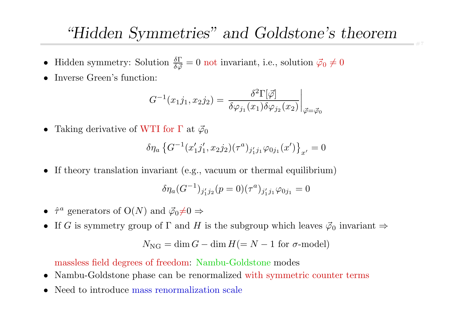# "Hidden Symmetries" and Goldstone's theorem

- Hidden symmetry: Solution  $\frac{\delta \Gamma}{\delta \vec{\varphi}} = 0$  not invariant, i.e., solution  $\vec{\varphi}_0 \neq 0$
- •Inverse Green's function:

$$
G^{-1}(x_1j_1,x_2j_2) = \left. \frac{\delta^2 \Gamma[\vec\varphi]}{\delta \varphi_{j_1}(x_1) \delta \varphi_{j_2}(x_2)} \right|_{\vec\varphi = \vec\varphi_0}
$$

•Taking derivative of WTI for  $\Gamma$  at  $\vec{\varphi}_0$ 

$$
\delta \eta_a \left\{ G^{-1}(x'_1 j'_1, x_2 j_2)(\tau^a)_{j'_1 j_1} \varphi_{0 j_1}(x') \right\}_{x'} = 0
$$

• If theory translation invariant (e.g., vacuum or thermal equilibrium)

$$
\delta \eta_a (G^{-1})_{j'_1 j_2} (p=0) (\tau^a)_{j'_1 j_1} \varphi_{0 j_1} = 0
$$

- $\hat{\tau}^a$  generators of  $O(N)$  and  $\vec{\varphi}_0 \neq 0 \Rightarrow$
- If G is symmetry group of  $\Gamma$  and H is the subgroup which leaves  $\vec{\varphi}_0$  invariant  $\Rightarrow$

$$
N_{\rm NG}=\dim G-\dim H(=N-1\,\,{\rm for}\,\,\sigma\text{-model})
$$

massless field degrees of freedom: Nambu-Goldstone modes

- •Nambu-Goldstone <sup>p</sup>hase can be renormalized with symmetric counter terms
- •• Need to introduce mass renormalization scale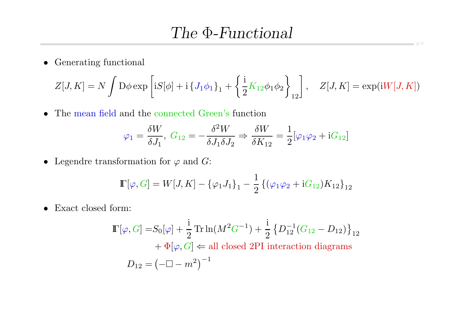• Generating functional

$$
Z[J,K] = N \int D\phi \exp \left[ iS[\phi] + i \left\{ J_1 \phi_1 \right\}_1 + \left\{ \frac{i}{2} K_{12} \phi_1 \phi_2 \right\}_{12} \right], \quad Z[J,K] = \exp(iW[J,K])
$$

• The mean field and the connected Green's function

$$
\varphi_1 = \frac{\delta W}{\delta J_1}, \ G_{12} = -\frac{\delta^2 W}{\delta J_1 \delta J_2} \Rightarrow \frac{\delta W}{\delta K_{12}} = \frac{1}{2} [\varphi_1 \varphi_2 + i G_{12}]
$$

• Legendre transformation for  $\varphi$  and  $G$ :

$$
\mathbb{F}[\varphi, G] = W[J, K] - {\varphi_1 J_1}_1 - \frac{1}{2} \{ (\varphi_1 \varphi_2 + iG_{12}) K_{12} \}_{12}
$$

• Exact closed form:

$$
\mathbb{I}[\varphi, G] = S_0[\varphi] + \frac{1}{2} \operatorname{Tr} \ln(M^2 G^{-1}) + \frac{1}{2} \left\{ D_{12}^{-1} (G_{12} - D_{12}) \right\}_{12}
$$

$$
+ \Phi[\varphi, G] \Leftarrow \text{all closed 2PI interaction diagrams}
$$

$$
D_{12} = \left( -\Box - m^2 \right)^{-1}
$$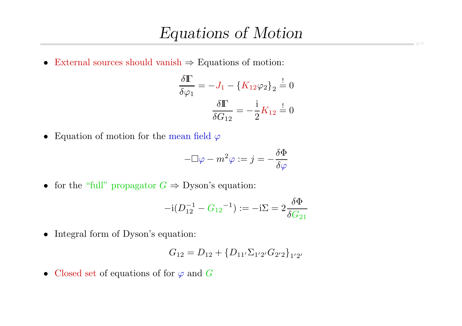• External sources should vanish  $\Rightarrow$  Equations of motion:

$$
\frac{\delta \mathbb{\Gamma}}{\delta \varphi_1} = -J_1 - \{K_{12}\varphi_2\}_2 \stackrel{!}{=} 0
$$

$$
\frac{\delta \mathbb{\Gamma}}{\delta G_{12}} = -\frac{\mathrm{i}}{2}K_{12} \stackrel{!}{=} 0
$$

• Equation of motion for the mean field  $\varphi$ 

$$
-\Box \varphi - m^2 \varphi := j = -\frac{\delta \Phi}{\delta \varphi}
$$

• for the "full" propagator  $G \Rightarrow$  Dyson's equation:

$$
-{\rm i}(D_{12}^{-1}-G_{12}{}^{-1}):=-{\rm i}\Sigma=2\frac{\delta\Phi}{\delta G_{21}}
$$

• Integral form of Dyson's equation:

$$
G_{12} = D_{12} + \{D_{11'}\Sigma_{1'2'}G_{2'2}\}_{1'2'}
$$

• Closed set of equations of for  $\varphi$  and  $G$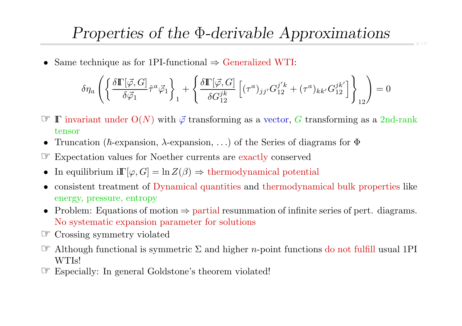• Same technique as for 1PI-functional  $\Rightarrow$  Generalized WTI:

$$
\delta\eta_a\left(\left\{\frac{\delta\mathbb{I}\left[\vec{\varphi},G\right]}{\delta\vec{\varphi}_1}\hat{\tau}^a\vec{\varphi}_1\right\}_1+\left\{\frac{\delta\mathbb{I}\left[\vec{\varphi},G\right]}{\delta G^{jk}_{12}}\left[(\tau^a)_{jj'}G^{j'k}_{12}+(\tau^a)_{kk'}G^{jk'}_{12}\right]\right\}_{12}\right)=0
$$

- $\mathscr{F} \quad \Gamma$  invariant under  $O(N)$  with  $\vec{\varphi}$  transforming as a vector, G transforming as a 2nd-rank tensor
- Truncation ( $\hbar$ -expansion,  $\lambda$ -expansion, ...) of the Series of diagrams for  $\Phi$
- ☞ Expectation values for Noether currents are exactly conserved
- In equilibrium  $i\mathbb{F}[\varphi, G] = \ln Z(\beta) \Rightarrow \text{thermodynamical potential}$
- • consistent treatment of Dynamical quantities and thermodynamical bulk properties like energy, pressure, entropy
- Problem: Equations of motion <sup>⇒</sup> partial resummation of infinite series of pert. diagrams. No systematic expansion parameter for solutions
- ☞ Crossing symmetry violated
- $\mathcal{F}$  Although functional is symmetric  $\Sigma$  and higher *n*-point functions do not fulfill usual 1PI WTIs!
- ☞ Especially: In general Goldstone's theorem violated!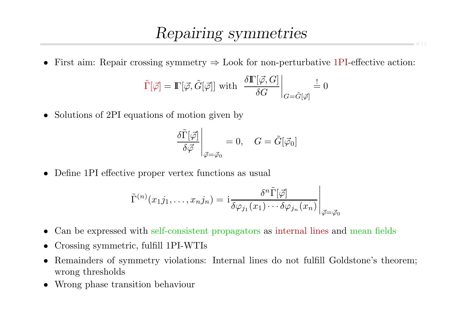### Repairing symmetries

• First aim: Repair crossing symmetry  $\Rightarrow$  Look for non-perturbative 1PI-effective action:

$$
\tilde{\Gamma}[\vec{\varphi}] = \mathbb{\Gamma}[\vec{\varphi}, \tilde{G}[\vec{\varphi}]] \text{ with } \left. \frac{\delta \mathbb{\Gamma}[\vec{\varphi}, G]}{\delta G} \right|_{G = \tilde{G}[\vec{\varphi}]} \stackrel{!}{=} 0
$$

• Solutions of 2PI equations of motion given by

$$
\left. \frac{\delta \tilde{\Gamma}[\vec{\varphi}]}{\delta \vec{\varphi}} \right|_{\vec{\varphi} = \vec{\varphi}_0} = 0, \quad G = \tilde{G}[\vec{\varphi}_0]
$$

• Define 1PI effective proper vertex functions as usual

$$
\tilde{\Gamma}^{(n)}(x_1j_1,\ldots,x_nj_n)=\left.\mathsf{i}\frac{\delta^n\tilde{\Gamma}[\vec{\varphi}]}{\delta\varphi_{j_1}(x_1)\cdots\delta\varphi_{j_n}(x_n)}\right|_{\vec{\varphi}=\vec{\varphi}_0}
$$

- •Can be expressed with self-consistent propagators as internal lines and mean fields
- •Crossing symmetric, fulfill 1PI-WTIs
- $\bullet$  Remainders of symmetry violations: Internal lines do not fulfill Goldstone's theorem; wrong thresholds
- Wrong phase transition behaviour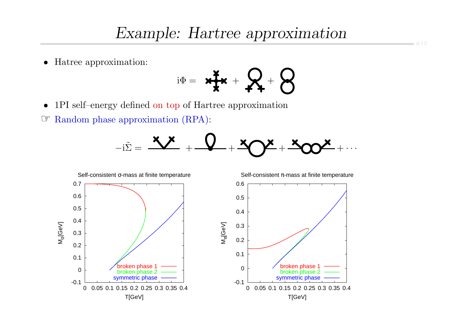•Hatree approximation:

$$
\mathrm{i}\Phi = \mathbf{H} + \mathbf{R} + \mathbf{S}
$$

•1PI self–energy defined on top of Hartree approximation

☞ Random <sup>p</sup>hase approximation (RPA):



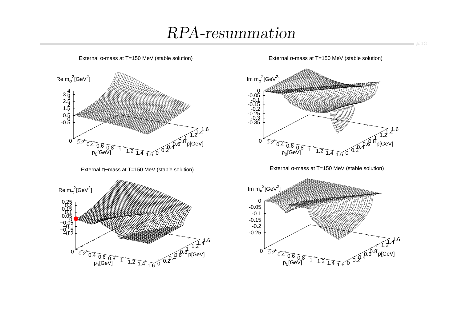# RPA-resummation



External σ-mass at T=150 MeV (stable solution)

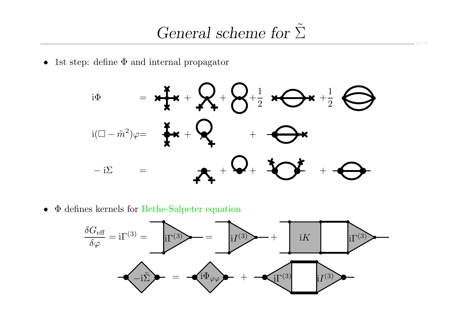$-414$ 

 $\bullet$ 1st step: define Φ and internal propagator



 $\bullet$ • Φ defines kernels for Bethe-Salpeter equation

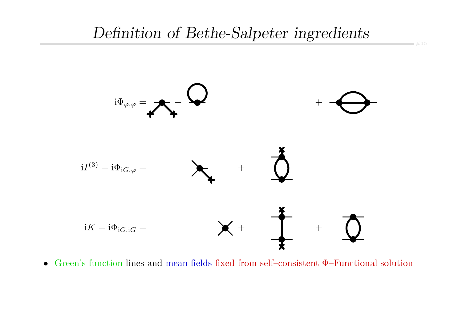### Definition of Bethe-Salpeter ingredients



• Green's function lines and mean fields fixed from self–consistent Φ–Functional solution